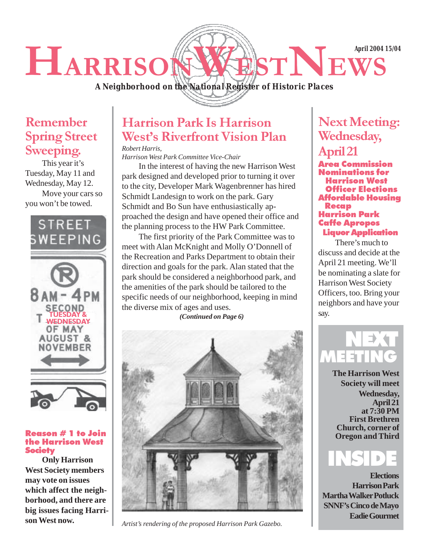**April 2004 15/04**

# HARRISONWESTNEWS

*A Neighborhood on the National Register of Historic Places*

### Remember Spring Street Sweeping.

This year it's Tuesday, May 11 and Wednesday, May 12. Move your cars so you won't be towed.





#### Reason # 1 to Join the Harrison West **Society**

**Only Harrison West Society members may vote on issues which affect the neighborhood, and there are big issues facing Harrison West now.**

## Harrison Park Is Harrison West's Riverfront Vision Plan

*Robert Harris,*

*Harrison West Park Committee Vice-Chair*

In the interest of having the new Harrison West park designed and developed prior to turning it over to the city, Developer Mark Wagenbrenner has hired Schmidt Landesign to work on the park. Gary Schmidt and Bo Sun have enthusiastically approached the design and have opened their office and the planning process to the HW Park Committee.

The first priority of the Park Committee was to meet with Alan McKnight and Molly O'Donnell of the Recreation and Parks Department to obtain their direction and goals for the park. Alan stated that the park should be considered a neighborhood park, and the amenities of the park should be tailored to the specific needs of our neighborhood, keeping in mind the diverse mix of ages and uses.

*(Continued on Page 6)*



*Artist's rendering of the proposed Harrison Park Gazebo.*

# Next Meeting: Wednesday,

# April 21

Area Commission Nominations for Harrison West Officer Elections Affordable Housing **Recap** Harrison Park Caffe Apropos Liquor Application

There's much to discuss and decide at the April 21 meeting. We'll be nominating a slate for Harrison West Society Officers, too. Bring your neighbors and have your say.

# MEET NEXT

**The Harrison West Society will meet Wednesday, April 21 at 7:30 PM First Brethren Church, corner of Oregon and Third**



 **Elections Harrison Park Martha Walker Potluck SNNF's Cinco de Mayo Eadie Gourmet**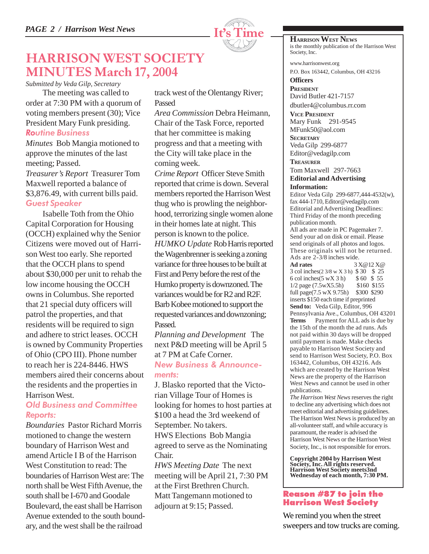

# HARRISON WEST SOCIETY MINUTES March 17, 2004

*Submitted by Veda Gilp, Secretary*

The meeting was called to order at 7:30 PM with a quorum of voting members present (30); Vice President Mary Funk presiding. Routine Business

*Minutes* Bob Mangia motioned to approve the minutes of the last meeting; Passed. *Treasurer's Report* Treasurer Tom Maxwell reported a balance of \$3,876.49, with current bills paid. Guest Speaker

Isabelle Toth from the Ohio Capital Corporation for Housing (OCCH) explained why the Senior Citizens were moved out of Harrison West too early. She reported that the OCCH plans to spend about \$30,000 per unit to rehab the low income housing the OCCH owns in Columbus. She reported that 21 special duty officers will patrol the properties, and that residents will be required to sign and adhere to strict leases. OCCH is owned by Community Properties of Ohio (CPO III). Phone number to reach her is 224-8446. HWS members aired their concerns about the residents and the properties in Harrison West.

#### Old Business and Committee Reports:

*Boundaries* Pastor Richard Morris motioned to change the western boundary of Harrison West and amend Article I B of the Harrison West Constitution to read: The boundaries of Harrison West are: The north shall be West Fifth Avenue, the south shall be I-670 and Goodale Boulevard, the east shall be Harrison Avenue extended to the south boundary, and the west shall be the railroad

track west of the Olentangy River; Passed

*Area Commission* Debra Heimann, Chair of the Task Force, reported that her committee is making progress and that a meeting with the City will take place in the coming week.

*Crime Report* Officer Steve Smith reported that crime is down. Several members reported the Harrison West thug who is prowling the neighborhood, terrorizing single women alone in their homes late at night. This person is known to the police. *HUMKO Update* Rob Harris reported the Wagenbrenner is seeking a zoning variance for three houses to be built at First and Perry before the rest of the Humko property is downzoned. The variances would be for R2 and R2F. Barb Kobee motioned to support the requested variances and downzoning; Passed.

*Planning and Development* The next P&D meeting will be April 5 at 7 PM at Cafe Corner.

#### New Business & Announcements:

J. Blasko reported that the Victorian Village Tour of Homes is looking for homes to host parties at \$100 a head the 3rd weekend of September. No takers. HWS Elections Bob Mangia agreed to serve as the Nominating Chair.

*HWS Meeting Date* The next meeting will be April 21, 7:30 PM at the First Brethren Church. Matt Tangemann motioned to adjourn at 9:15; Passed.

**HARRISON WEST NEWS** is the monthly publication of the Harrison West Society, Inc.

www.harrisonwest.org P.O. Box 163442, Columbus, OH 43216

**Officers PRESIDENT** David Butler 421-7157 dbutler4@columbus.rr.com

**VICE PRESIDENT** Mary Funk 291-9545 MFunk50@aol.com

**SECRETARY** Veda Gilp 299-6877 Editor@vedagilp.com

**TREASURER**

#### Tom Maxwell 297-7663 **Editorial and Advertising Information:**

Editor Veda Gilp 299-6877,444-4532(w), fax 444-1710, Editor@vedagilp.com Editorial and Advertising Deadlines: Third Friday of the month preceding publication month.

All ads are made in PC Pagemaker 7. Send your ad on disk or email. Please send originals of all photos and logos. These originals will not be returned. Ads are  $2-3/8$  inches wide.<br>Ad rates  $3$ 

**Ad rates** 3 X@12 X@ 3 col inches(2 3/8 w X 3 h) \$ 30 \$ 25 6 col inches(5 wX 3 h) \$ 60 \$ 55 1/2 page (7.5wX5.5h) \$160 \$155 full page(7.5 wX 9.75h) \$300 \$290 inserts \$150 each time if preprinted **Send to:** Veda Gilp, Editor, 996 Pennsylvania Ave., Columbus, OH 43201 **Terms** Payment for ALL ads is due by the 15th of the month the ad runs. Ads not paid within 30 days will be dropped until payment is made. Make checks payable to Harrison West Society and send to Harrison West Society, P.O. Box 163442, Columbus, OH 43216. Ads which are created by the Harrison West News are the property of the Harrison West News and cannot be used in other publications.

*The Harrison West News* reserves the right to decline any advertising which does not meet editorial and advertising guidelines. The Harrison West News is produced by an all-volunteer staff, and while accuracy is paramount, the reader is advised the Harrison West News or the Harrison West Society, Inc., is not responsible for errors.

**Copyright 2004 by Harrison West Society, Inc. All rights reserved. Harrison West Society meets3nd Wednesday of each month, 7:30 PM.**

#### Reason #87 to join the Harrison West Society

We remind you when the street sweepers and tow trucks are coming.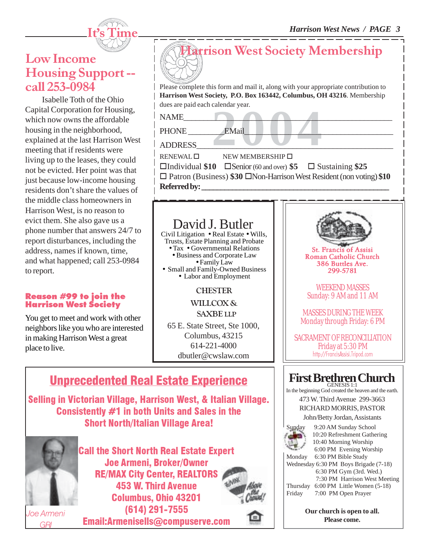

### Low Income Housing Support - call 253-0984

Isabelle Toth of the Ohio Capital Corporation for Housing, which now owns the affordable housing in the neighborhood, explained at the last Harrison West meeting that if residents were living up to the leases, they could not be evicted. Her point was that just because low-income housing residents don't share the values of the middle class homeowners in Harrison West, is no reason to evict them. She also gave us a phone number that answers 24/7 to report disturbances, including the address, names if known, time, and what happened; call 253-0984 to report.

#### Reason #99 to join the Harrison West Society

You get to meet and work with other neighbors like you who are interested in making Harrison West a great place to live.



EMail Publishers Line Please complete this form and mail it, along with your appropriate contribution to **Harrison West Society, P.O. Box 163442, Columbus, OH 43216**. Membership dues are paid each calendar year.

 $NAME$   $\qquad \qquad$ 

PHONE EMail

ADDRESS\_\_\_\_\_\_\_\_\_\_\_\_\_\_\_\_\_\_\_\_\_\_\_\_\_\_\_\_\_\_\_\_\_\_\_\_\_\_\_\_\_\_\_\_\_\_\_\_\_

 $RENEWAL \Box$  NEW MEMBERSHIP  $\Box$ Individual **\$10** Senior (60 and over) **\$5**  Sustaining **\$25** □ Patron (Business) \$30 □Non-Harrison West Resident (non voting) \$10 **Referred by: \_\_\_\_\_\_\_\_\_\_\_\_\_\_\_\_\_\_\_\_\_\_\_\_\_\_\_\_\_\_\_\_\_\_\_\_\_\_\_\_\_\_\_\_\_\_\_\_\_**

# David J. Butler

Civil Litigation • Real Estate • Wills, Trusts, Estate Planning and Probate • Tax • Governmental Relations<br>• Business and Corporate Law<br>• Family Law • Small and Family-Owned Business<br>• Labor and Employment

**CHESTER** 

WILLCOX & SAXBE LLP

65 E. State Street, Ste 1000,

Columbus, 43215 614-221-4000

dbutler@cwslaw.com

# Unprecedented Real Estate Experience

Selling in Victorian Village, Harrison West, & Italian Village. Consistently #1 in both Units and Sales in the Short North/Italian Village Area!



Call the Short North Real Estate Expert Joe Armeni, Broker/Owner RE/MAX City Center, REALTORS 453 W. Third Avenue Columbus, Ohio 43201 (614) 291-7555

Email:Armenisells@compuserve.com



St. Francis of Assisi Roman Catholic Church 386 Buttles Ave. 299-5781

WEEKEND MASSES Sunday: 9 AM and 11 AM

MASSES DURING THE WEEK Monday through Friday: 6 PM

SACRAMENT OF RECONCILIATION Friday at 5:30 PM http://FrancisAssisi.Tripod.com

#### **First Brethren Church** GENESIS 1:1

In the beginning God created the heaven and the earth.

473 W. Third Avenue 299-3663 RICHARD MORRIS, PASTOR

John/Betty Jordan, Assistants



Sunday 9:20 AM Sunday School 10:20 Refreshment Gathering 10:40 Morning Worship 6:00 PM Evening Worship

Monday 6:30 PM Bible Study Wednesday 6:30 PM Boys Brigade (7-18) 6:30 PM Gym (3rd. Wed.) 7:30 PM Harrison West Meeting Thursday 6:00 PM Little Women (5-18)

Friday 7:00 PM Open Prayer

**Our church is open to all. Please come.**

Joe Armeni GRI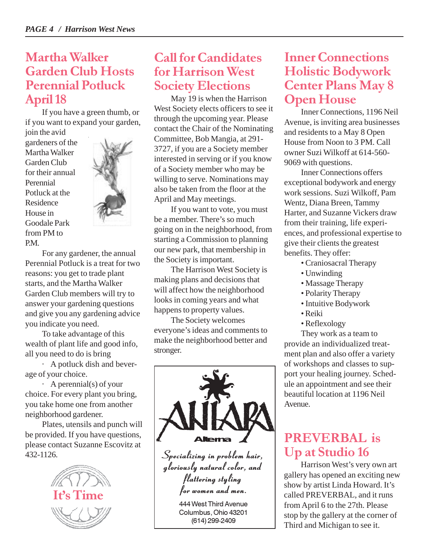### Martha Walker Garden Club Hosts Perennial Potluck April 18

If you have a green thumb, or if you want to expand your garden, join the avid

gardeners of the Martha Walker Garden Club for their annual Perennial Potluck at the Residence House in Goodale Park from PM to P.M.



For any gardener, the annual Perennial Potluck is a treat for two reasons: you get to trade plant starts, and the Martha Walker Garden Club members will try to answer your gardening questions and give you any gardening advice you indicate you need.

To take advantage of this wealth of plant life and good info, all you need to do is bring

· A potluck dish and beverage of your choice.

· A perennial(s) of your choice. For every plant you bring, you take home one from another neighborhood gardener.

Plates, utensils and punch will be provided. If you have questions, please contact Suzanne Escovitz at 432-1126.



### Call for Candidates for Harrison West Society Elections

May 19 is when the Harrison West Society elects officers to see it through the upcoming year. Please contact the Chair of the Nominating Committee, Bob Mangia, at 291- 3727, if you are a Society member interested in serving or if you know of a Society member who may be willing to serve. Nominations may also be taken from the floor at the April and May meetings.

If you want to vote, you must be a member. There's so much going on in the neighborhood, from starting a Commission to planning our new park, that membership in the Society is important.

The Harrison West Society is making plans and decisions that will affect how the neighborhood looks in coming years and what happens to property values.

The Society welcomes everyone's ideas and comments to make the neighborhood better and stronger.



## Inner Connections Holistic Bodywork Center Plans May 8 Open House

Inner Connections, 1196 Neil Avenue, is inviting area businesses and residents to a May 8 Open House from Noon to 3 PM. Call owner Suzi Wilkoff at 614-560- 9069 with questions.

Inner Connections offers exceptional bodywork and energy work sessions. Suzi Wilkoff, Pam Wentz, Diana Breen, Tammy Harter, and Suzanne Vickers draw from their training, life experiences, and professional expertise to give their clients the greatest benefits. They offer:

- Craniosacral Therapy
- Unwinding
- Massage Therapy
- Polarity Therapy
- Intuitive Bodywork
- Reiki
- Reflexology

They work as a team to provide an individualized treatment plan and also offer a variety of workshops and classes to support your healing journey. Schedule an appointment and see their beautiful location at 1196 Neil Avenue.

# PREVERBAL is Up at Studio 16

Harrison West's very own art gallery has opened an exciting new show by artist Linda Howard. It's called PREVERBAL, and it runs from April 6 to the 27th. Please stop by the gallery at the corner of Third and Michigan to see it.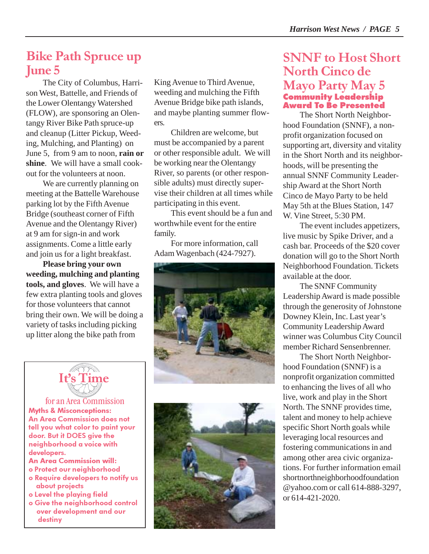### Bike Path Spruce up June 5

The City of Columbus, Harrison West, Battelle, and Friends of the Lower Olentangy Watershed (FLOW), are sponsoring an Olentangy River Bike Path spruce-up and cleanup (Litter Pickup, Weeding, Mulching, and Planting) on June 5, from 9 am to noon, **rain or shine**. We will have a small cookout for the volunteers at noon.

We are currently planning on meeting at the Battelle Warehouse parking lot by the Fifth Avenue Bridge (southeast corner of Fifth Avenue and the Olentangy River) at 9 am for sign-in and work assignments. Come a little early and join us for a light breakfast.

**Please bring your own weeding, mulching and planting tools, and gloves**. We will have a few extra planting tools and gloves for those volunteers that cannot bring their own. We will be doing a variety of tasks including picking up litter along the bike path from

King Avenue to Third Avenue, weeding and mulching the Fifth Avenue Bridge bike path islands, and maybe planting summer flowers.

Children are welcome, but must be accompanied by a parent or other responsible adult. We will be working near the Olentangy River, so parents (or other responsible adults) must directly supervise their children at all times while participating in this event.

This event should be a fun and worthwhile event for the entire family.

For more information, call Adam Wagenbach (424-7927).





Myths & Misconceptions: An Area Commission does not tell you what color to paint your door. But it DOES give the neighborhood a voice with developers. An Area Commission will: for an Area Commission

o Protect our neighborhood

- o Require developers to notify us about projects
- o Level the playing field
- o Give the neighborhood control over development and our destiny



#### SNNF to Host Short North Cinco de Mayo Party May 5 Community Leadership Award To Be Presented

The Short North Neighborhood Foundation (SNNF), a nonprofit organization focused on supporting art, diversity and vitality in the Short North and its neighborhoods, will be presenting the annual SNNF Community Leadership Award at the Short North Cinco de Mayo Party to be held May 5th at the Blues Station, 147 W. Vine Street, 5:30 PM.

The event includes appetizers, live music by Spike Driver, and a cash bar. Proceeds of the \$20 cover donation will go to the Short North Neighborhood Foundation. Tickets available at the door.

The SNNF Community Leadership Award is made possible through the generosity of Johnstone Downey Klein, Inc. Last year's Community Leadership Award winner was Columbus City Council member Richard Sensenbrenner.

The Short North Neighborhood Foundation (SNNF) is a nonprofit organization committed to enhancing the lives of all who live, work and play in the Short North. The SNNF provides time, talent and money to help achieve specific Short North goals while leveraging local resources and fostering communications in and among other area civic organizations. For further information email shortnorthneighborhoodfoundation @yahoo.com or call 614-888-3297, or 614-421-2020.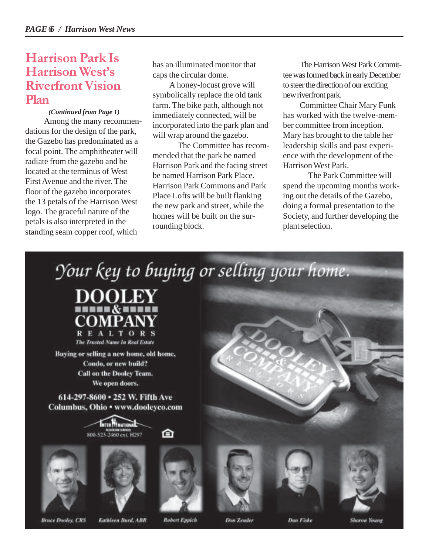#### Harrison Park Is Harrison West's Riverfront Vision Plan

#### *(Continued from Page 1)*

 Among the many recommendations for the design of the park, the Gazebo has predominated as a focal point. The amphitheater will radiate from the gazebo and be located at the terminus of West First Avenue and the river. The floor of the gazebo incorporates the 13 petals of the Harrison West logo. The graceful nature of the petals is also interpreted in the standing seam copper roof, which

has an illuminated monitor that caps the circular dome.

A honey-locust grove will symbolically replace the old tank farm. The bike path, although not immediately connected, will be incorporated into the park plan and will wrap around the gazebo.

The Committee has recommended that the park be named Harrison Park and the facing street be named Harrison Park Place. Harrison Park Commons and Park Place Lofts will be built flanking the new park and street, while the homes will be built on the surrounding block.

The Harrison West Park Committee was formed back in early December to steer the direction of our exciting new riverfront park.

Committee Chair Mary Funk has worked with the twelve-member committee from inception. Mary has brought to the table her leadership skills and past experience with the development of the Harrison West Park.

The Park Committee will spend the upcoming months working out the details of the Gazebo, doing a formal presentation to the Society, and further developing the plant selection.

Your key to buying or selling your home.



Buying or selling a new home, old home, Condo, or new build? Call on the Dooley Team. We open doors.

614-297-8600 . 252 W. Fifth Ave Columbus, Ohio • www.dooleyco.com









的







**Bruce Dooley, CRS** 

Kathleen Burd, ABR

**Robert Eppich** 

**Don Zender** 

Dan Fiske

**Sharow Young**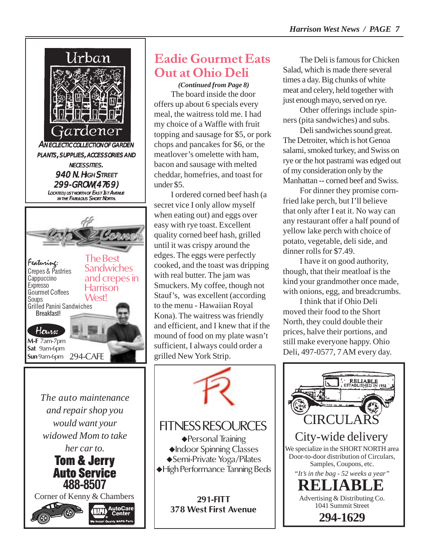

AutoCare

Eadie Gourmet Eats Out at Ohio Deli

*(Continued from Page 8)* The board inside the door offers up about 6 specials every meal, the waitress told me. I had my choice of a Waffle with fruit topping and sausage for \$5, or pork chops and pancakes for \$6, or the meatlover's omelette with ham, bacon and sausage with melted cheddar, homefries, and toast for under \$5.

I ordered corned beef hash (a secret vice I only allow myself when eating out) and eggs over easy with rye toast. Excellent quality corned beef hash, grilled until it was crispy around the edges. The eggs were perfectly cooked, and the toast was dripping with real butter. The jam was Smuckers. My coffee, though not Stauf's, was excellent (according to the menu - Hawaiian Royal Kona). The waitress was friendly and efficient, and I knew that if the mound of food on my plate wasn't sufficient, I always could order a grilled New York Strip.

FITNESS RESOURCES ◆ Personal Training Indoor Spinning Classes Semi-Private Yoga/Pilates

High Performance Tanning Beds

**291-FITT 378 West First Avenue**

The Deli is famous for Chicken Salad, which is made there several times a day. Big chunks of white meat and celery, held together with just enough mayo, served on rye.

Other offerings include spinners (pita sandwiches) and subs.

Deli sandwiches sound great. The Detroiter, which is hot Genoa salami, smoked turkey, and Swiss on rye or the hot pastrami was edged out of my consideration only by the Manhattan -- corned beef and Swiss.

For dinner they promise cornfried lake perch, but I'll believe that only after I eat it. No way can any restaurant offer a half pound of yellow lake perch with choice of potato, vegetable, deli side, and dinner rolls for \$7.49.

I have it on good authority, though, that their meatloaf is the kind your grandmother once made, with onions, egg, and breadcrumbs.

I think that if Ohio Deli moved their food to the Short North, they could double their prices, halve their portions, and still make everyone happy. Ohio Deli, 497-0577, 7 AM every day.